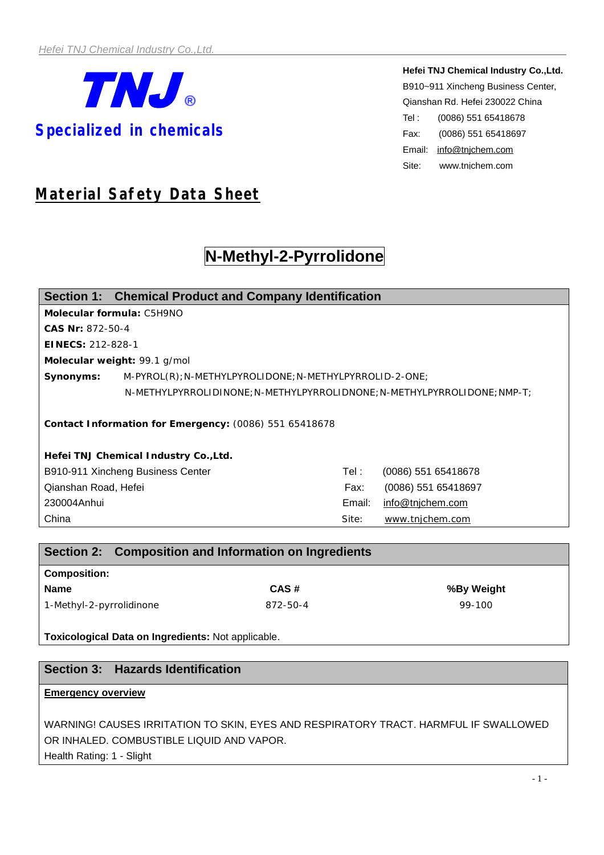

**Hefei TNJ Chemical Industry Co.,Ltd.** B910~911 Xincheng Business Center, Qianshan Rd. Hefei 230022 China Tel : (0086) 551 65418678 Fax: (0086) 551 65418697 Email: [info@tnjchem.com](mailto:info@tnjchem.com) Site: [www.tnjchem.com](http://www.tnjchem.com)

# *Material Safety Data Sheet*

# **N-Methyl-2-Pyrrolidone**

|                                                        | Section 1: Chemical Product and Company Identification                     |         |                     |  |  |
|--------------------------------------------------------|----------------------------------------------------------------------------|---------|---------------------|--|--|
| Molecular formula: C5H9NO                              |                                                                            |         |                     |  |  |
| CAS Nr: 872-50-4                                       |                                                                            |         |                     |  |  |
| EINECS: 212-828-1                                      |                                                                            |         |                     |  |  |
| Molecular weight: 99.1 g/mol                           |                                                                            |         |                     |  |  |
| Synonyms:                                              | M-PYROL(R); N-METHYLPYROLIDONE; N-METHYLPYRROLID-2-ONE;                    |         |                     |  |  |
|                                                        | $N-METHYLPYRROLIDINONE; N-METHYLPYRROLIDNONE; N-METHYLPYRROLIDONE; NMP-T;$ |         |                     |  |  |
| Contact Information for Emergency: (0086) 551 65418678 |                                                                            |         |                     |  |  |
| Hefei TNJ Chemical Industry Co., Ltd.                  |                                                                            |         |                     |  |  |
| B910-911 Xincheng Business Center                      |                                                                            | Tel : l | (0086) 551 65418678 |  |  |
| Qianshan Road, Hefei                                   |                                                                            | Fax:    | (0086) 551 65418697 |  |  |
| 230004Anhui                                            |                                                                            | Email:  | info@tnjchem.com    |  |  |
| China                                                  |                                                                            | Site:   | www.tnjchem.com     |  |  |

|                          | Section 2: Composition and Information on Ingredients |            |  |  |  |
|--------------------------|-------------------------------------------------------|------------|--|--|--|
| <b>Composition:</b>      |                                                       |            |  |  |  |
| <b>Name</b>              | CAS#                                                  | %By Weight |  |  |  |
| 1-Methyl-2-pyrrolidinone | 872-50-4                                              | 99-100     |  |  |  |

**Toxicological Data on Ingredients:** Not applicable.

# **Section 3: Hazards Identification**

## **Emergency overview**

WARNING! CAUSES IRRITATION TO SKIN, EYES AND RESPIRATORY TRACT. HARMFUL IF SWALLOWED OR INHALED. COMBUSTIBLE LIQUID AND VAPOR.

Health Rating: 1 - Slight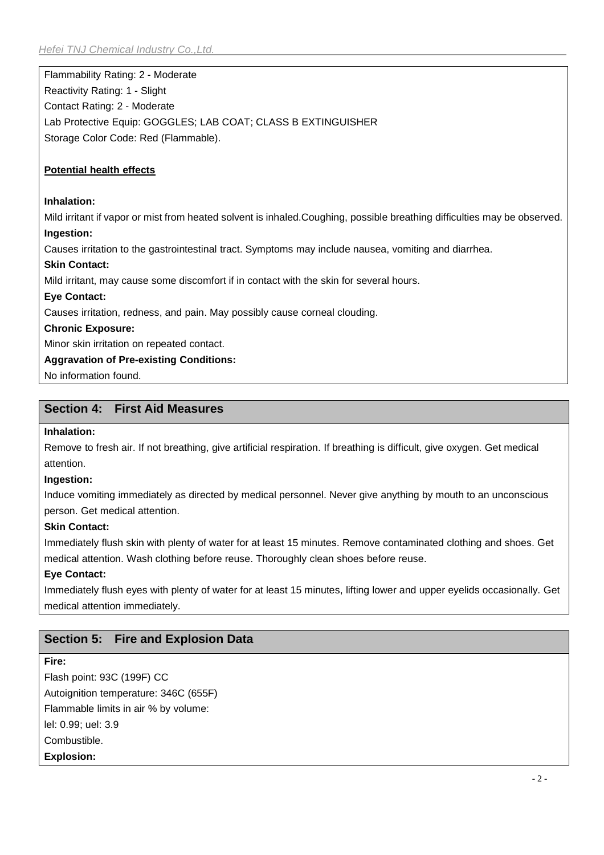Flammability Rating: 2 - Moderate Reactivity Rating: 1 - Slight Contact Rating: 2 - Moderate Lab Protective Equip: GOGGLES; LAB COAT; CLASS B EXTINGUISHER Storage Color Code: Red (Flammable).

## **Potential health effects**

#### **Inhalation:**

Mild irritant if vapor or mist from heated solvent is inhaled.Coughing, possible breathing difficulties may be observed. **Ingestion:**

Causes irritation to the gastrointestinal tract. Symptoms may include nausea, vomiting and diarrhea.

#### **Skin Contact:**

Mild irritant, may cause some discomfort if in contact with the skin for several hours.

### **Eye Contact:**

Causes irritation, redness, and pain. May possibly cause corneal clouding.

### **Chronic Exposure:**

Minor skin irritation on repeated contact.

### **Aggravation of Pre-existing Conditions:**

No information found.

# **Section 4: First Aid Measures**

#### **Inhalation:**

Remove to fresh air. If not breathing, give artificial respiration. If breathing is difficult, give oxygen. Get medical attention.

#### **Ingestion:**

Induce vomiting immediately as directed by medical personnel. Never give anything by mouth to an unconscious person. Get medical attention.

# **Skin Contact:**

Immediately flush skin with plenty of water for at least 15 minutes. Remove contaminated clothing and shoes. Get medical attention. Wash clothing before reuse. Thoroughly clean shoes before reuse.

# **Eye Contact:**

Immediately flush eyes with plenty of water for at least 15 minutes, lifting lower and upper eyelids occasionally. Get medical attention immediately.

# **Section 5: Fire and Explosion Data**

# **Fire:**

Flash point: 93C (199F) CC Autoignition temperature: 346C (655F) Flammable limits in air % by volume: lel: 0.99; uel: 3.9 Combustible. **Explosion:**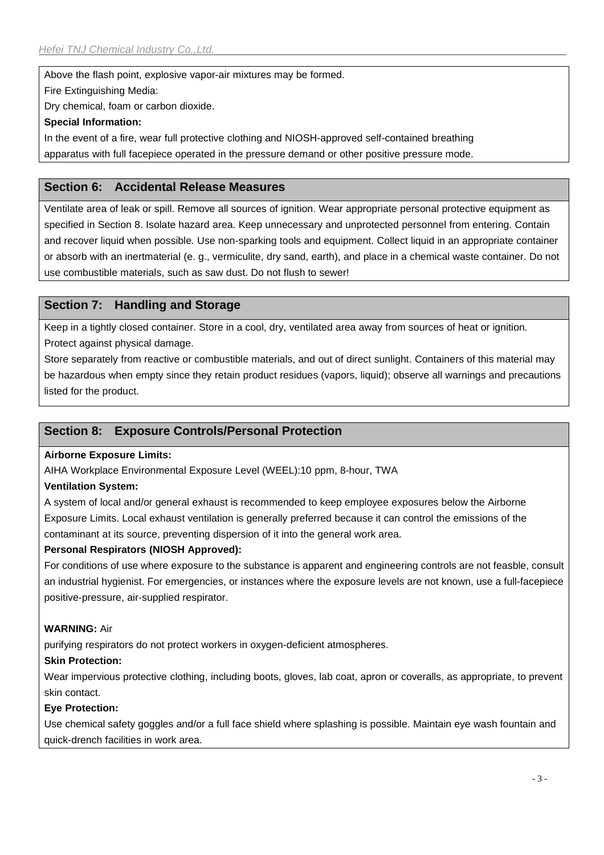Above the flash point, explosive vapor-air mixtures may be formed.

Fire Extinguishing Media:

Dry chemical, foam or carbon dioxide.

### **Special Information:**

In the event of a fire, wear full protective clothing and NIOSH-approved self-contained breathing apparatus with full facepiece operated in the pressure demand or other positive pressure mode.

# **Section 6: Accidental Release Measures**

Ventilate area of leak or spill. Remove all sources of ignition. Wear appropriate personal protective equipment as specified in Section 8. Isolate hazard area. Keep unnecessary and unprotected personnel from entering. Contain and recover liquid when possible. Use non-sparking tools and equipment. Collect liquid in an appropriate container or absorb with an inertmaterial (e. g., vermiculite, dry sand, earth), and place in a chemical waste container. Do not use combustible materials, such as saw dust. Do not flush to sewer!

# **Section 7: Handling and Storage**

Keep in a tightly closed container. Store in a cool, dry, ventilated area away from sources of heat or ignition. Protect against physical damage.

Store separately from reactive or combustible materials, and out of direct sunlight. Containers of this material may be hazardous when empty since they retain product residues (vapors, liquid); observe all warnings and precautions listed for the product.

# **Section 8: Exposure Controls/Personal Protection**

#### **Airborne Exposure Limits:**

AIHA Workplace Environmental Exposure Level (WEEL):10 ppm, 8-hour, TWA

#### **Ventilation System:**

A system of local and/or general exhaust is recommended to keep employee exposures below the Airborne Exposure Limits. Local exhaust ventilation is generally preferred because it can control the emissions of the contaminant at its source, preventing dispersion of it into the general work area.

# **Personal Respirators (NIOSH Approved):**

For conditions of use where exposure to the substance is apparent and engineering controls are not feasble, consult an industrial hygienist. For emergencies, or instances where the exposure levels are not known, use a full-facepiece positive-pressure, air-supplied respirator.

# **WARNING:** Air

purifying respirators do not protect workers in oxygen-deficient atmospheres.

# **Skin Protection:**

Wear impervious protective clothing, including boots, gloves, lab coat, apron or coveralls, as appropriate, to prevent skin contact.

#### **Eye Protection:**

Use chemical safety goggles and/or a full face shield where splashing is possible. Maintain eye wash fountain and quick-drench facilities in work area.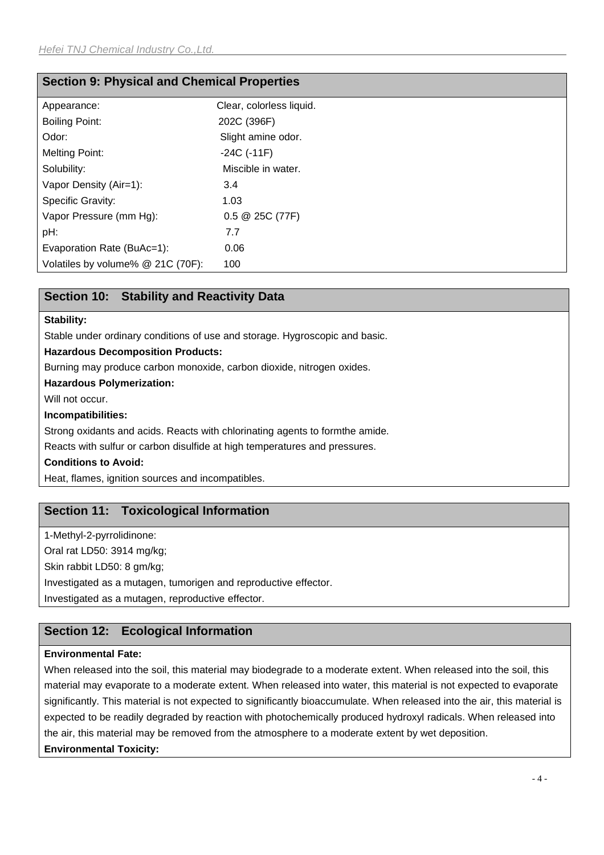| <b>Section 9: Physical and Chemical Properties</b> |                          |  |  |  |
|----------------------------------------------------|--------------------------|--|--|--|
| Appearance:                                        | Clear, colorless liquid. |  |  |  |
| <b>Boiling Point:</b>                              | 202C (396F)              |  |  |  |
| Odor:                                              | Slight amine odor.       |  |  |  |
| <b>Melting Point:</b>                              | $-24C$ ( $-11F$ )        |  |  |  |
| Solubility:                                        | Miscible in water.       |  |  |  |
| Vapor Density (Air=1):                             | 3.4                      |  |  |  |
| <b>Specific Gravity:</b>                           | 1.03                     |  |  |  |
| Vapor Pressure (mm Hg):                            | $0.5 \ @ 25C (77F)$      |  |  |  |
| pH:                                                | 7.7                      |  |  |  |
| Evaporation Rate (BuAc=1):                         | 0.06                     |  |  |  |
| Volatiles by volume% @ 21C (70F):                  | 100                      |  |  |  |

# **Section 10: Stability and Reactivity Data**

### **Stability:**

Stable under ordinary conditions of use and storage. Hygroscopic and basic.

**Hazardous Decomposition Products:**

Burning may produce carbon monoxide, carbon dioxide, nitrogen oxides.

#### **Hazardous Polymerization:**

Will not occur.

#### **Incompatibilities:**

Strong oxidants and acids. Reacts with chlorinating agents to formthe amide.

Reacts with sulfur or carbon disulfide at high temperatures and pressures.

## **Conditions to Avoid:**

Heat, flames, ignition sources and incompatibles.

# **Section 11: Toxicological Information**

1-Methyl-2-pyrrolidinone: Oral rat LD50: 3914 mg/kg; Skin rabbit LD50: 8 gm/kg;

Investigated as a mutagen, tumorigen and reproductive effector.

Investigated as a mutagen, reproductive effector.

# **Section 12: Ecological Information**

# **Environmental Fate:**

When released into the soil, this material may biodegrade to a moderate extent. When released into the soil, this material may evaporate to a moderate extent. When released into water, this material is not expected to evaporate significantly. This material is not expected to significantly bioaccumulate. When released into the air, this material is expected to be readily degraded by reaction with photochemically produced hydroxyl radicals. When released into the air, this material may be removed from the atmosphere to a moderate extent by wet deposition. **Environmental Toxicity:**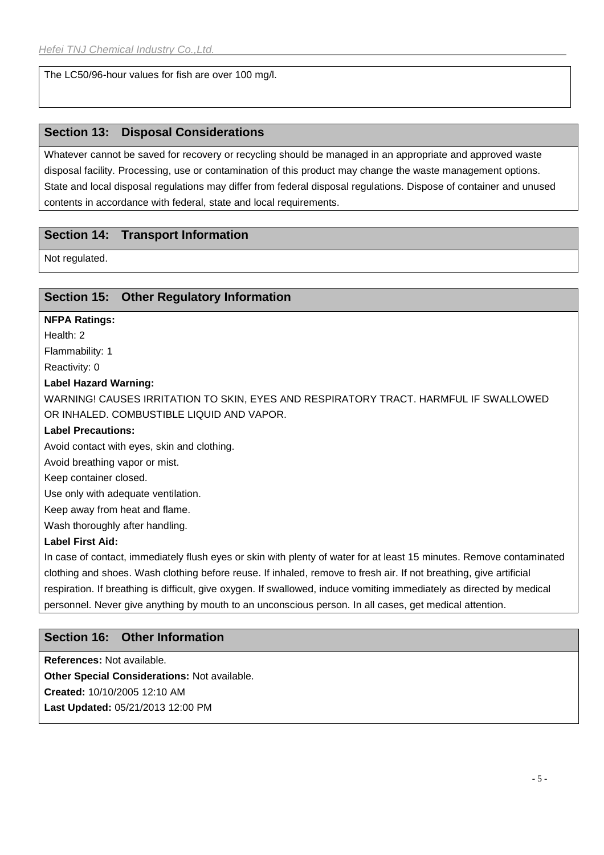The LC50/96-hour values for fish are over 100 mg/l.

# **Section 13: Disposal Considerations**

Whatever cannot be saved for recovery or recycling should be managed in an appropriate and approved waste disposal facility. Processing, use or contamination of this product may change the waste management options. State and local disposal regulations may differ from federal disposal regulations. Dispose of container and unused contents in accordance with federal, state and local requirements.

# **Section 14: Transport Information**

Not regulated.

# **Section 15: Other Regulatory Information**

## **NFPA Ratings:**

Health: 2

Flammability: 1

Reactivity: 0

#### **Label Hazard Warning:**

WARNING! CAUSES IRRITATION TO SKIN, EYES AND RESPIRATORY TRACT. HARMFUL IF SWALLOWED OR INHALED. COMBUSTIBLE LIQUID AND VAPOR.

#### **Label Precautions:**

Avoid contact with eyes, skin and clothing.

Avoid breathing vapor or mist.

Keep container closed.

Use only with adequate ventilation.

Keep away from heat and flame.

Wash thoroughly after handling.

#### **Label First Aid:**

In case of contact, immediately flush eyes or skin with plenty of water for at least 15 minutes. Remove contaminated clothing and shoes. Wash clothing before reuse. If inhaled, remove to fresh air. If not breathing, give artificial respiration. If breathing is difficult, give oxygen. If swallowed, induce vomiting immediately as directed by medical personnel. Never give anything by mouth to an unconscious person. In all cases, get medical attention.

# **Section 16: Other Information**

**References:** Not available. **Other Special Considerations:** Not available. **Created:** 10/10/2005 12:10 AM

**Last Updated:** 05/21/2013 12:00 PM